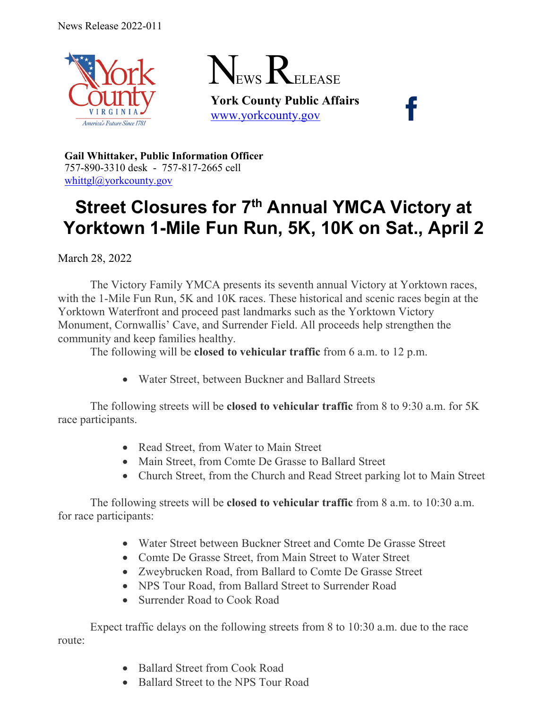



**York County Public Affairs** [www.yorkcounty.gov](http://www.yorkcounty.gov/)

**Gail Whittaker, Public Information Officer** 757-890-3310 desk - 757-817-2665 cell [whittgl@yorkcounty.gov](mailto:whittgl@yorkcounty.gov)

## **Street Closures for 7th Annual YMCA Victory at Yorktown 1-Mile Fun Run, 5K, 10K on Sat., April 2**

March 28, 2022

The Victory Family YMCA presents its seventh annual Victory at Yorktown races, with the 1-Mile Fun Run, 5K and 10K races. These historical and scenic races begin at the Yorktown Waterfront and proceed past landmarks such as the Yorktown Victory Monument, Cornwallis' Cave, and Surrender Field. All proceeds help strengthen the community and keep families healthy.

The following will be **closed to vehicular traffic** from 6 a.m. to 12 p.m.

• Water Street, between Buckner and Ballard Streets

The following streets will be **closed to vehicular traffic** from 8 to 9:30 a.m. for 5K race participants.

- Read Street, from Water to Main Street
- Main Street, from Comte De Grasse to Ballard Street
- Church Street, from the Church and Read Street parking lot to Main Street

The following streets will be **closed to vehicular traffic** from 8 a.m. to 10:30 a.m. for race participants:

- Water Street between Buckner Street and Comte De Grasse Street
- Comte De Grasse Street, from Main Street to Water Street
- Zweybrucken Road, from Ballard to Comte De Grasse Street
- NPS Tour Road, from Ballard Street to Surrender Road
- Surrender Road to Cook Road

Expect traffic delays on the following streets from 8 to 10:30 a.m. due to the race route:

- Ballard Street from Cook Road
- Ballard Street to the NPS Tour Road